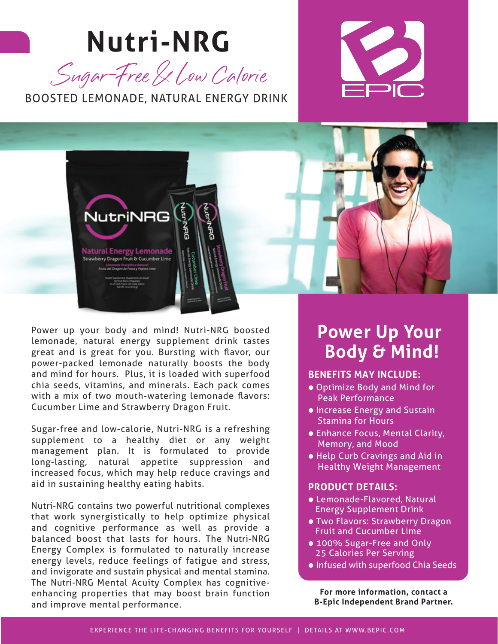# **Nutri-NRG**



BOOSTED LEMONADE, NATURAL ENERGY DRINK





Power up your body and mind! Nutri-NRG boosted lemonade, natural energy supplement drink tastes great and is great for you. Bursting with flavor, our power-packed lemonade naturally boosts the body and mind for hours. Plus, it is loaded with superfood chia seeds, vitamins, and minerals. Each pack comes with a mix of two mouth-watering lemonade flavors: Cucumber Lime and Strawberry Dragon Fruit.

Sugar-free and low-calorie, Nutri-NRG is a refreshing supplement to a healthy diet or any weight management plan. It is formulated to provide long-lasting, natural appetite suppression and increased focus, which may help reduce cravings and aid in sustaining healthy eating habits.

Nutri-NRG contains two powerful nutritional complexes that work synergistically to help optimize physical and cognitive performance as well as provide a balanced boost that lasts for hours. The Nutri-NRG Energy Complex is formulated to naturally increase energy levels, reduce feelings of fatigue and stress, and invigorate and sustain physical and mental stamina. The Nutri-NRG Mental Acuity Complex has cognitiveenhancing properties that may boost brain function and improve mental performance.

### **Power Up Your Body & Mind!**

#### **BENEFITS MAY INCLUDE:**

- **•** Optimize Body and Mind for Peak Performance
- **•** Increase Energy and Sustain Stamina for Hours
- **•** Enhance Focus, Mental Clarity, Memory, and Mood
- **•** Help Curb Cravings and Aid in Healthy Weight Management

#### **PRODUCT DETAILS:**

- Lemonade-Flavored, Natural Energy Supplement Drink
- Two Flavors: Strawberry Dragon Fruit and Cucumber Lime
- 100% Sugar-Free and Only 25 Calories Per Serving
- Infused with superfood Chia Seeds

**For more information, contact a B-Epic Independent Brand Partner.**